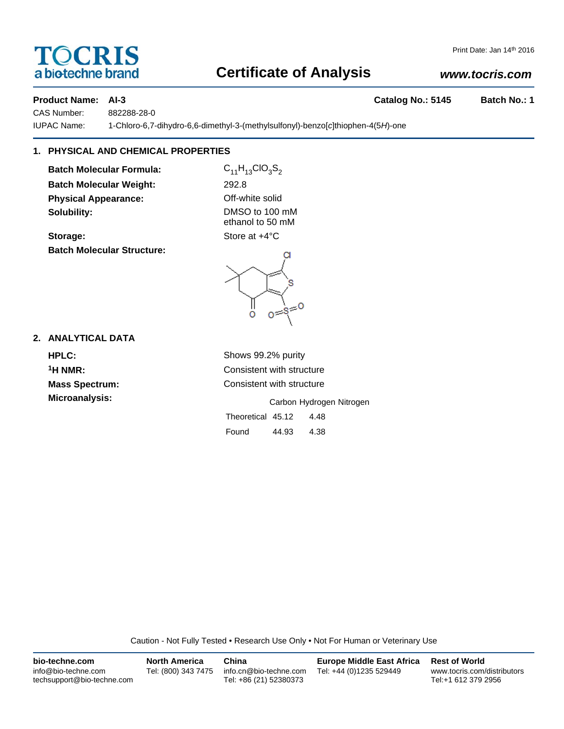# **TOCRIS** a biotechne brand

# **Certificate of Analysis**

## *www.tocris.com*

Print Date: Jan 14th 2016

CAS Number: 882288-28-0

IUPAC Name: 1-Chloro-6,7-dihydro-6,6-dimethyl-3-(methylsulfonyl)-benzo[*c*]thiophen-4(5*H*)-one

## **1. PHYSICAL AND CHEMICAL PROPERTIES**

**Batch Molecular Formula:** C<sub>11</sub>H<sub>13</sub>ClO<sub>3</sub>S<sub>2</sub> **Batch Molecular Weight:** 292.8 **Physical Appearance: Contract Contract Contract Physical Appearance:** Off-white solid **Solubility:** DMSO to 100 mM

**Storage:** Store at  $+4^{\circ}$ C **Batch Molecular Structure:**

ethanol to 50 mM

## **2. ANALYTICAL DATA**

**1H NMR:** Consistent with structure **Mass Spectrum:** Consistent with structure

**Microanalysis:** Microanalysis: **Carbon Hydrogen Nitrogen** Theoretical 45.12 4.48 Found 44.93 4.38

Caution - Not Fully Tested • Research Use Only • Not For Human or Veterinary Use

| bio-techne.com                                    | <b>North America</b> | China                                            | Europe Middle East Africa | <b>Rest of World</b>                               |
|---------------------------------------------------|----------------------|--------------------------------------------------|---------------------------|----------------------------------------------------|
| info@bio-techne.com<br>techsupport@bio-techne.com | Tel: (800) 343 7475  | info.cn@bio-techne.com<br>Tel: +86 (21) 52380373 | Tel: +44 (0)1235 529449   | www.tocris.com/distributors<br>Tel:+1 612 379 2956 |



**HPLC:** Shows 99.2% purity

**Product Name: AI-3 Catalog No.: 5145 Batch No.: 1**